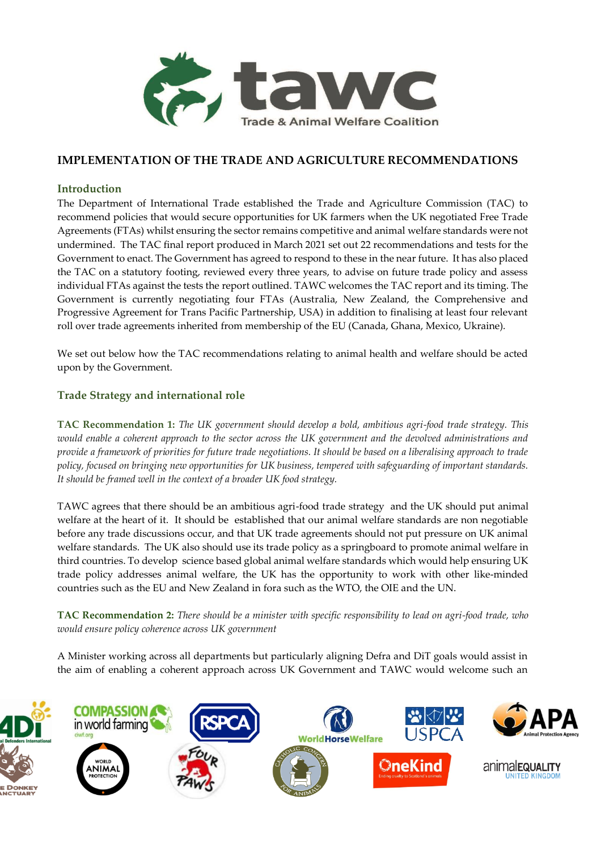

## **IMPLEMENTATION OF THE TRADE AND AGRICULTURE RECOMMENDATIONS**

### **Introduction**

The Department of International Trade established the Trade and Agriculture Commission (TAC) to recommend policies that would secure opportunities for UK farmers when the UK negotiated Free Trade Agreements (FTAs) whilst ensuring the sector remains competitive and animal welfare standards were not undermined. The TAC final report produced in March 2021 set out 22 recommendations and tests for the Government to enact. The Government has agreed to respond to these in the near future. It has also placed the TAC on a statutory footing, reviewed every three years, to advise on future trade policy and assess individual FTAs against the tests the report outlined. TAWC welcomes the TAC report and its timing. The Government is currently negotiating four FTAs (Australia, New Zealand, the Comprehensive and Progressive Agreement for Trans Pacific Partnership, USA) in addition to finalising at least four relevant roll over trade agreements inherited from membership of the EU (Canada, Ghana, Mexico, Ukraine).

We set out below how the TAC recommendations relating to animal health and welfare should be acted upon by the Government.

### **Trade Strategy and international role**

**TAC Recommendation 1:** *The UK government should develop a bold, ambitious agri-food trade strategy. This would enable a coherent approach to the sector across the UK government and the devolved administrations and provide a framework of priorities for future trade negotiations. It should be based on a liberalising approach to trade policy, focused on bringing new opportunities for UK business, tempered with safeguarding of important standards. It should be framed well in the context of a broader UK food strategy.*

TAWC agrees that there should be an ambitious agri-food trade strategy and the UK should put animal welfare at the heart of it. It should be established that our animal welfare standards are non negotiable before any trade discussions occur, and that UK trade agreements should not put pressure on UK animal welfare standards. The UK also should use its trade policy as a springboard to promote animal welfare in third countries. To develop science based global animal welfare standards which would help ensuring UK trade policy addresses animal welfare, the UK has the opportunity to work with other like-minded countries such as the EU and New Zealand in fora such as the WTO, the OIE and the UN.

**TAC Recommendation 2:** *There should be a minister with specific responsibility to lead on agri-food trade, who would ensure policy coherence across UK government*

A Minister working across all departments but particularly aligning Defra and DiT goals would assist in the aim of enabling a coherent approach across UK Government and TAWC would welcome such an

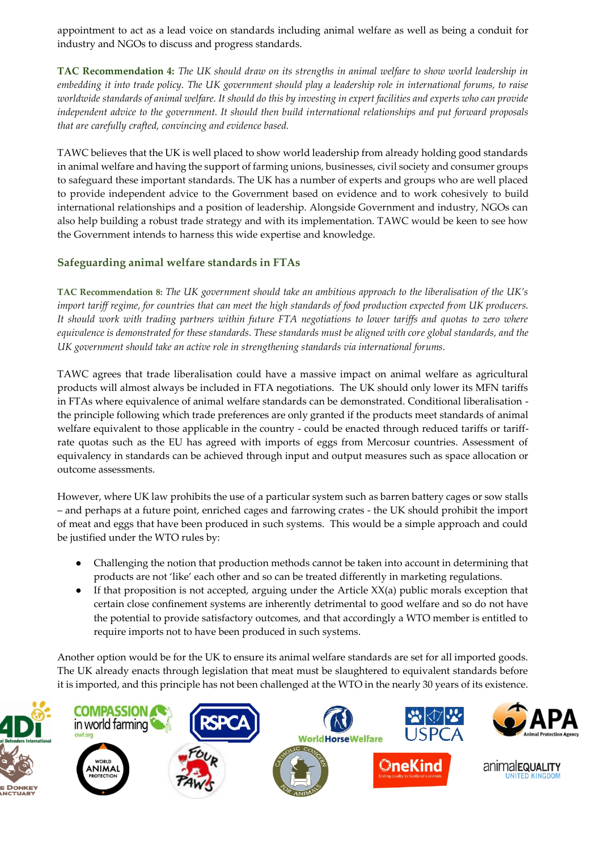appointment to act as a lead voice on standards including animal welfare as well as being a conduit for industry and NGOs to discuss and progress standards.

**TAC Recommendation 4:** *The UK should draw on its strengths in animal welfare to show world leadership in embedding it into trade policy. The UK government should play a leadership role in international forums, to raise worldwide standards of animal welfare. It should do this by investing in expert facilities and experts who can provide independent advice to the government. It should then build international relationships and put forward proposals that are carefully crafted, convincing and evidence based.*

TAWC believes that the UK is well placed to show world leadership from already holding good standards in animal welfare and having the support of farming unions, businesses, civil society and consumer groups to safeguard these important standards. The UK has a number of experts and groups who are well placed to provide independent advice to the Government based on evidence and to work cohesively to build international relationships and a position of leadership. Alongside Government and industry, NGOs can also help building a robust trade strategy and with its implementation. TAWC would be keen to see how the Government intends to harness this wide expertise and knowledge.

## **Safeguarding animal welfare standards in FTAs**

**TAC Recommendation 8:** *The UK government should take an ambitious approach to the liberalisation of the UK's import tariff regime, for countries that can meet the high standards of food production expected from UK producers. It should work with trading partners within future FTA negotiations to lower tariffs and quotas to zero where equivalence is demonstrated for these standards. These standards must be aligned with core global standards, and the UK government should take an active role in strengthening standards via international forums.*

TAWC agrees that trade liberalisation could have a massive impact on animal welfare as agricultural products will almost always be included in FTA negotiations. The UK should only lower its MFN tariffs in FTAs where equivalence of animal welfare standards can be demonstrated. Conditional liberalisation the principle following which trade preferences are only granted if the products meet standards of animal welfare equivalent to those applicable in the country - could be enacted through reduced tariffs or tariffrate quotas such as the EU has agreed with imports of eggs from Mercosur countries. Assessment of equivalency in standards can be achieved through input and output measures such as space allocation or outcome assessments.

However, where UK law prohibits the use of a particular system such as barren battery cages or sow stalls – and perhaps at a future point, enriched cages and farrowing crates - the UK should prohibit the import of meat and eggs that have been produced in such systems. This would be a simple approach and could be justified under the WTO rules by:

- Challenging the notion that production methods cannot be taken into account in determining that products are not 'like' each other and so can be treated differently in marketing regulations.
- If that proposition is not accepted, arguing under the Article XX(a) public morals exception that certain close confinement systems are inherently detrimental to good welfare and so do not have the potential to provide satisfactory outcomes, and that accordingly a WTO member is entitled to require imports not to have been produced in such systems.

Another option would be for the UK to ensure its animal welfare standards are set for all imported goods. The UK already enacts through legislation that meat must be slaughtered to equivalent standards before it is imported, and this principle has not been challenged at the WTO in the nearly 30 years of its existence.

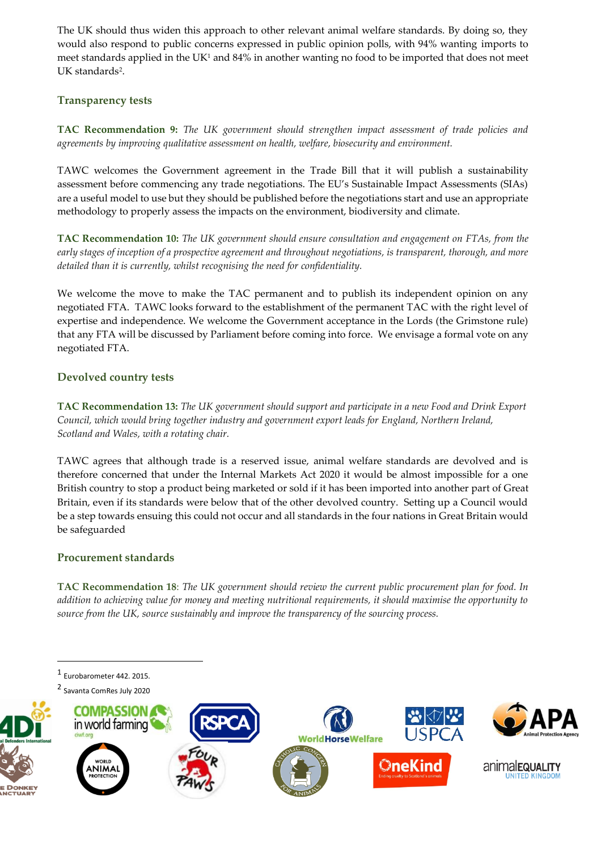The UK should thus widen this approach to other relevant animal welfare standards. By doing so, they would also respond to public concerns expressed in public opinion polls, with 94% wanting imports to meet standards applied in the UK<sup>1</sup> and 84% in another wanting no food to be imported that does not meet UK standards<sup>2</sup> .

## **Transparency tests**

**TAC Recommendation 9:** *The UK government should strengthen impact assessment of trade policies and agreements by improving qualitative assessment on health, welfare, biosecurity and environment.*

TAWC welcomes the Government agreement in the Trade Bill that it will publish a sustainability assessment before commencing any trade negotiations. The EU's Sustainable Impact Assessments (SIAs) are a useful model to use but they should be published before the negotiations start and use an appropriate methodology to properly assess the impacts on the environment, biodiversity and climate.

**TAC Recommendation 10:** *The UK government should ensure consultation and engagement on FTAs, from the early stages of inception of a prospective agreement and throughout negotiations, is transparent, thorough, and more detailed than it is currently, whilst recognising the need for confidentiality.*

We welcome the move to make the TAC permanent and to publish its independent opinion on any negotiated FTA. TAWC looks forward to the establishment of the permanent TAC with the right level of expertise and independence. We welcome the Government acceptance in the Lords (the Grimstone rule) that any FTA will be discussed by Parliament before coming into force. We envisage a formal vote on any negotiated FTA.

#### **Devolved country tests**

**TAC Recommendation 13:** *The UK government should support and participate in a new Food and Drink Export Council, which would bring together industry and government export leads for England, Northern Ireland, Scotland and Wales, with a rotating chair.* 

TAWC agrees that although trade is a reserved issue, animal welfare standards are devolved and is therefore concerned that under the Internal Markets Act 2020 it would be almost impossible for a one British country to stop a product being marketed or sold if it has been imported into another part of Great Britain, even if its standards were below that of the other devolved country. Setting up a Council would be a step towards ensuing this could not occur and all standards in the four nations in Great Britain would be safeguarded

#### **Procurement standards**

**TAC Recommendation 18**: *The UK government should review the current public procurement plan for food. In addition to achieving value for money and meeting nutritional requirements, it should maximise the opportunity to source from the UK, source sustainably and improve the transparency of the sourcing process.*

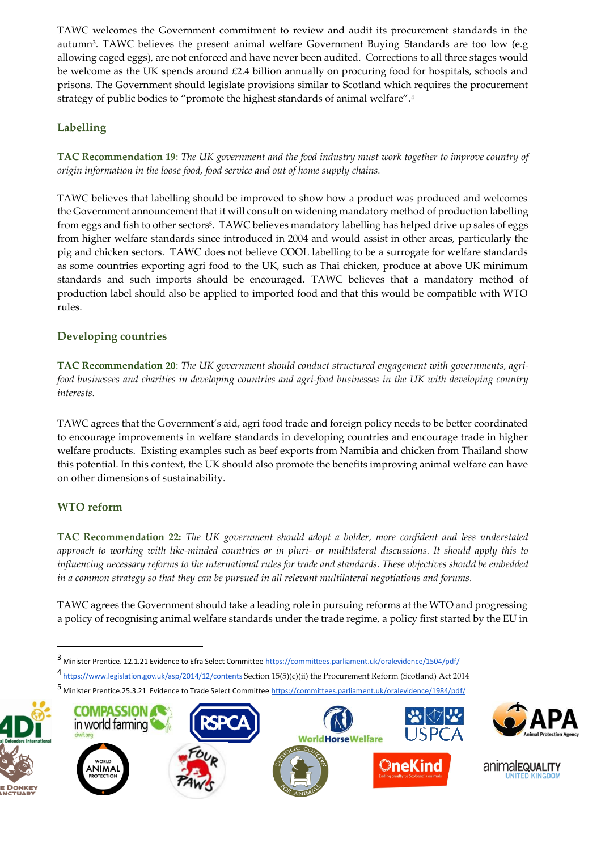TAWC welcomes the Government commitment to review and audit its procurement standards in the autumn<sup>3</sup> . TAWC believes the present animal welfare Government Buying Standards are too low (e.g allowing caged eggs), are not enforced and have never been audited. Corrections to all three stages would be welcome as the UK spends around £2.4 billion annually on procuring food for hospitals, schools and prisons. The Government should legislate provisions similar to Scotland which requires the procurement strategy of public bodies to "promote the highest standards of animal welfare".<sup>4</sup>

# **Labelling**

**TAC Recommendation 19**: *The UK government and the food industry must work together to improve country of origin information in the loose food, food service and out of home supply chains.*

TAWC believes that labelling should be improved to show how a product was produced and welcomes the Government announcement that it will consult on widening mandatory method of production labelling from eggs and fish to other sectors<sup>5</sup> . TAWC believes mandatory labelling has helped drive up sales of eggs from higher welfare standards since introduced in 2004 and would assist in other areas, particularly the pig and chicken sectors. TAWC does not believe COOL labelling to be a surrogate for welfare standards as some countries exporting agri food to the UK, such as Thai chicken, produce at above UK minimum standards and such imports should be encouraged. TAWC believes that a mandatory method of production label should also be applied to imported food and that this would be compatible with WTO rules.

# **Developing countries**

**TAC Recommendation 20**: *The UK government should conduct structured engagement with governments, agrifood businesses and charities in developing countries and agri-food businesses in the UK with developing country interests.*

TAWC agrees that the Government's aid, agri food trade and foreign policy needs to be better coordinated to encourage improvements in welfare standards in developing countries and encourage trade in higher welfare products. Existing examples such as beef exports from Namibia and chicken from Thailand show this potential. In this context, the UK should also promote the benefits improving animal welfare can have on other dimensions of sustainability.

# **WTO reform**

**TAC Recommendation 22:** *The UK government should adopt a bolder, more confident and less understated approach to working with like-minded countries or in pluri- or multilateral discussions. It should apply this to influencing necessary reforms to the international rules for trade and standards. These objectives should be embedded in a common strategy so that they can be pursued in all relevant multilateral negotiations and forums.*

TAWC agrees the Government should take a leading role in pursuing reforms at the WTO and progressing a policy of recognising animal welfare standards under the trade regime, a policy first started by the EU in

<sup>5</sup> Minister Prentice.25.3.21 Evidence to Trade Select Committe[e https://committees.parliament.uk/oralevidence/1984/pdf/](https://committees.parliament.uk/oralevidence/1984/pdf/)





animal**EQUALITY** 

<sup>3</sup> Minister Prentice. 12.1.21 Evidence to Efra Select Committe[e https://committees.parliament.uk/oralevidence/1504/pdf/](https://committees.parliament.uk/oralevidence/1504/pdf/)

<sup>4</sup> <https://www.legislation.gov.uk/asp/2014/12/contents> Section 15(5)(c)(ii) the Procurement Reform (Scotland) Act 2014